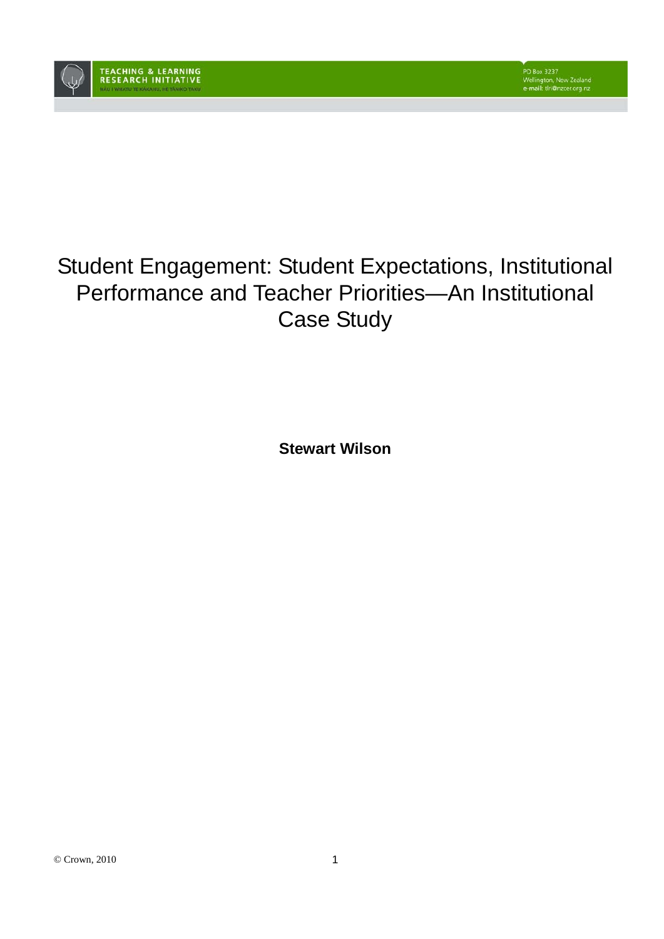

# Student Engagement: Student Expectations, Institutional Performance and Teacher Priorities—An Institutional Case Study

**Stewart Wilson**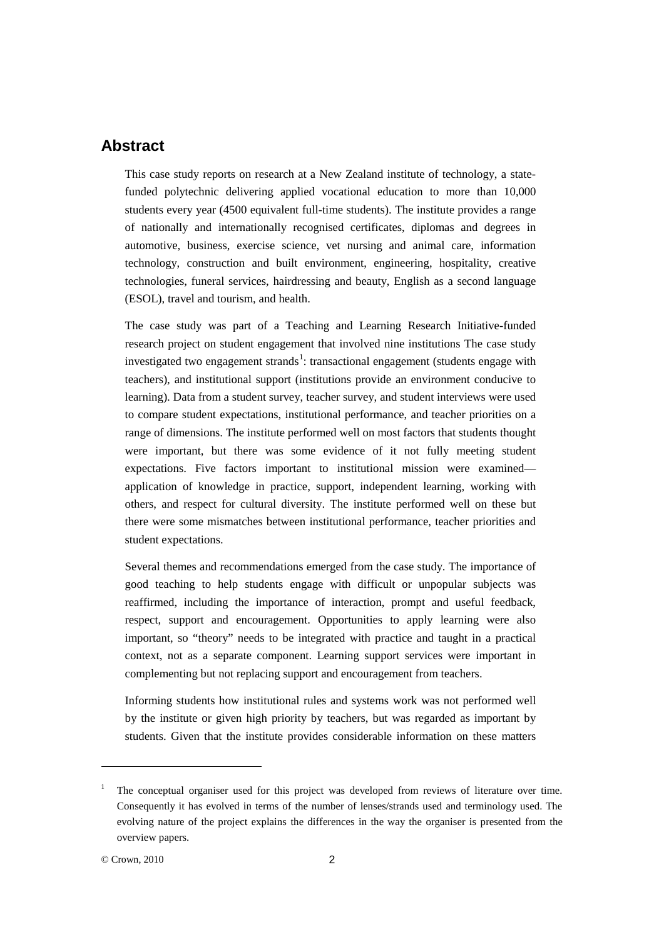# **Abstract**

This case study reports on research at a New Zealand institute of technology, a statefunded polytechnic delivering applied vocational education to more than 10,000 students every year (4500 equivalent full-time students). The institute provides a range of nationally and internationally recognised certificates, diplomas and degrees in automotive, business, exercise science, vet nursing and animal care, information technology, construction and built environment, engineering, hospitality, creative technologies, funeral services, hairdressing and beauty, English as a second language (ESOL), travel and tourism, and health.

The case study was part of a Teaching and Learning Research Initiative-funded research project on student engagement that involved nine institutions The case study investigated two engagement strands<sup>[1](#page-1-0)</sup>: transactional engagement (students engage with teachers), and institutional support (institutions provide an environment conducive to learning). Data from a student survey, teacher survey, and student interviews were used to compare student expectations, institutional performance, and teacher priorities on a range of dimensions. The institute performed well on most factors that students thought were important, but there was some evidence of it not fully meeting student expectations. Five factors important to institutional mission were examined application of knowledge in practice, support, independent learning, working with others, and respect for cultural diversity. The institute performed well on these but there were some mismatches between institutional performance, teacher priorities and student expectations.

Several themes and recommendations emerged from the case study. The importance of good teaching to help students engage with difficult or unpopular subjects was reaffirmed, including the importance of interaction, prompt and useful feedback, respect, support and encouragement. Opportunities to apply learning were also important, so "theory" needs to be integrated with practice and taught in a practical context, not as a separate component. Learning support services were important in complementing but not replacing support and encouragement from teachers.

Informing students how institutional rules and systems work was not performed well by the institute or given high priority by teachers, but was regarded as important by students. Given that the institute provides considerable information on these matters

-

<span id="page-1-0"></span><sup>1</sup> The conceptual organiser used for this project was developed from reviews of literature over time. Consequently it has evolved in terms of the number of lenses/strands used and terminology used. The evolving nature of the project explains the differences in the way the organiser is presented from the overview papers.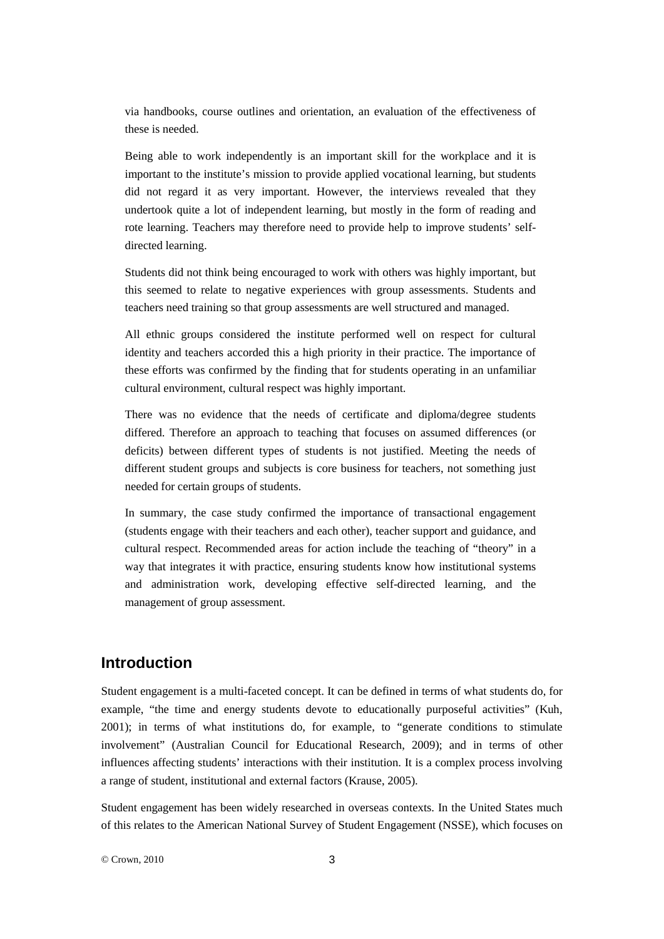via handbooks, course outlines and orientation, an evaluation of the effectiveness of these is needed.

Being able to work independently is an important skill for the workplace and it is important to the institute's mission to provide applied vocational learning, but students did not regard it as very important. However, the interviews revealed that they undertook quite a lot of independent learning, but mostly in the form of reading and rote learning. Teachers may therefore need to provide help to improve students' selfdirected learning.

Students did not think being encouraged to work with others was highly important, but this seemed to relate to negative experiences with group assessments. Students and teachers need training so that group assessments are well structured and managed.

All ethnic groups considered the institute performed well on respect for cultural identity and teachers accorded this a high priority in their practice. The importance of these efforts was confirmed by the finding that for students operating in an unfamiliar cultural environment, cultural respect was highly important.

There was no evidence that the needs of certificate and diploma/degree students differed. Therefore an approach to teaching that focuses on assumed differences (or deficits) between different types of students is not justified. Meeting the needs of different student groups and subjects is core business for teachers, not something just needed for certain groups of students.

In summary, the case study confirmed the importance of transactional engagement (students engage with their teachers and each other), teacher support and guidance, and cultural respect. Recommended areas for action include the teaching of "theory" in a way that integrates it with practice, ensuring students know how institutional systems and administration work, developing effective self-directed learning, and the management of group assessment.

# **Introduction**

Student engagement is a multi-faceted concept. It can be defined in terms of what students do, for example, "the time and energy students devote to educationally purposeful activities" (Kuh, 2001); in terms of what institutions do, for example, to "generate conditions to stimulate involvement" (Australian Council for Educational Research, 2009); and in terms of other influences affecting students' interactions with their institution. It is a complex process involving a range of student, institutional and external factors (Krause, 2005).

Student engagement has been widely researched in overseas contexts. In the United States much of this relates to the American National Survey of Student Engagement (NSSE), which focuses on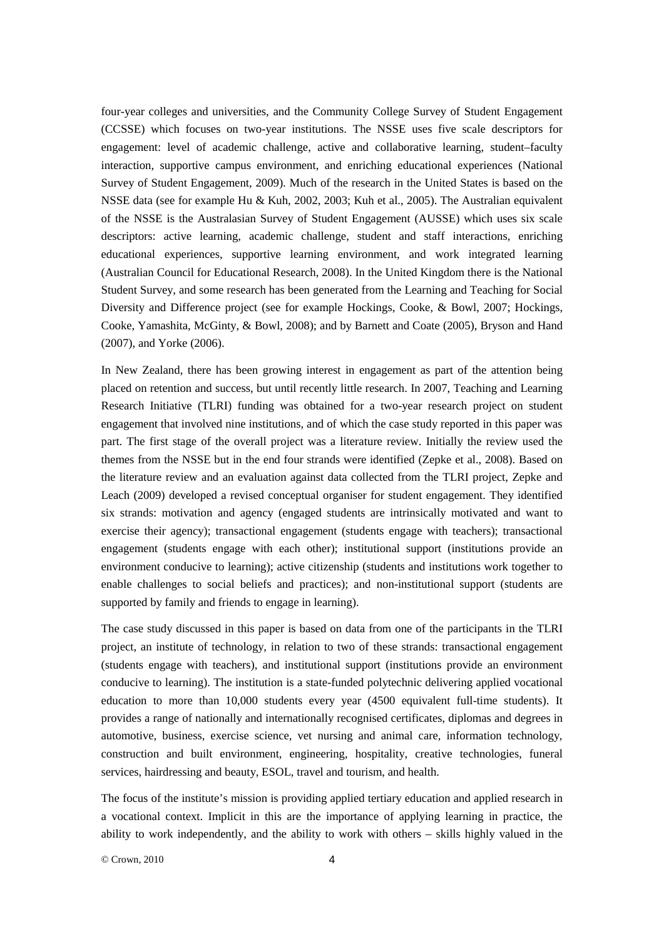four-year colleges and universities, and the Community College Survey of Student Engagement (CCSSE) which focuses on two-year institutions. The NSSE uses five scale descriptors for engagement: level of academic challenge, active and collaborative learning, student–faculty interaction, supportive campus environment, and enriching educational experiences (National Survey of Student Engagement, 2009). Much of the research in the United States is based on the NSSE data (see for example Hu & Kuh, 2002, 2003; Kuh et al., 2005). The Australian equivalent of the NSSE is the Australasian Survey of Student Engagement (AUSSE) which uses six scale descriptors: active learning, academic challenge, student and staff interactions, enriching educational experiences, supportive learning environment, and work integrated learning (Australian Council for Educational Research, 2008). In the United Kingdom there is the National Student Survey, and some research has been generated from the Learning and Teaching for Social Diversity and Difference project (see for example Hockings, Cooke, & Bowl, 2007; Hockings, Cooke, Yamashita, McGinty, & Bowl, 2008); and by Barnett and Coate (2005), Bryson and Hand (2007), and Yorke (2006).

In New Zealand, there has been growing interest in engagement as part of the attention being placed on retention and success, but until recently little research. In 2007, Teaching and Learning Research Initiative (TLRI) funding was obtained for a two-year research project on student engagement that involved nine institutions, and of which the case study reported in this paper was part. The first stage of the overall project was a literature review. Initially the review used the themes from the NSSE but in the end four strands were identified (Zepke et al., 2008). Based on the literature review and an evaluation against data collected from the TLRI project, Zepke and Leach (2009) developed a revised conceptual organiser for student engagement. They identified six strands: motivation and agency (engaged students are intrinsically motivated and want to exercise their agency); transactional engagement (students engage with teachers); transactional engagement (students engage with each other); institutional support (institutions provide an environment conducive to learning); active citizenship (students and institutions work together to enable challenges to social beliefs and practices); and non-institutional support (students are supported by family and friends to engage in learning).

The case study discussed in this paper is based on data from one of the participants in the TLRI project, an institute of technology, in relation to two of these strands: transactional engagement (students engage with teachers), and institutional support (institutions provide an environment conducive to learning). The institution is a state-funded polytechnic delivering applied vocational education to more than 10,000 students every year (4500 equivalent full-time students). It provides a range of nationally and internationally recognised certificates, diplomas and degrees in automotive, business, exercise science, vet nursing and animal care, information technology, construction and built environment, engineering, hospitality, creative technologies, funeral services, hairdressing and beauty, ESOL, travel and tourism, and health.

The focus of the institute's mission is providing applied tertiary education and applied research in a vocational context. Implicit in this are the importance of applying learning in practice, the ability to work independently, and the ability to work with others – skills highly valued in the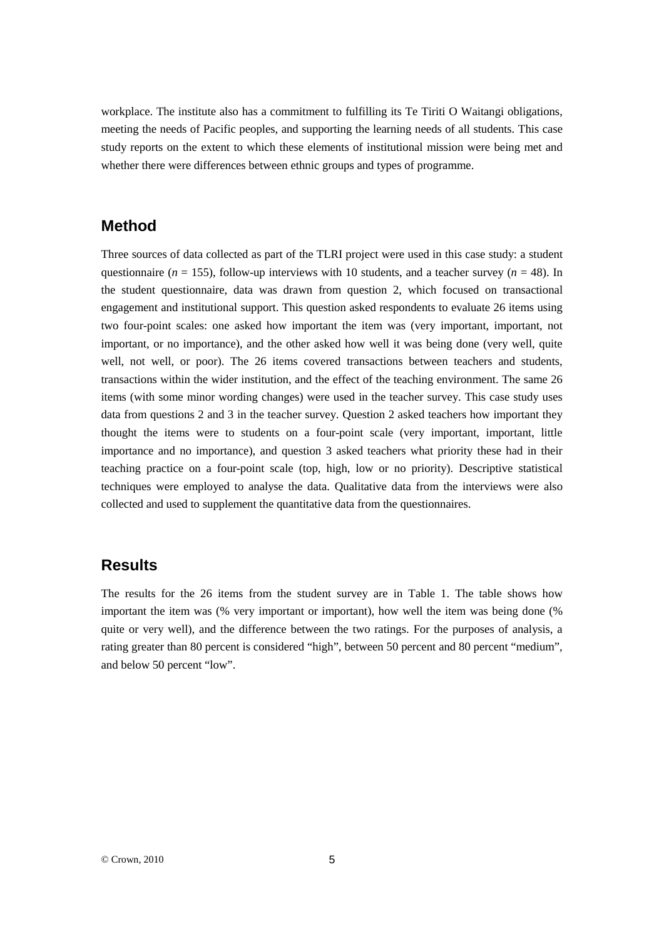workplace. The institute also has a commitment to fulfilling its Te Tiriti O Waitangi obligations, meeting the needs of Pacific peoples, and supporting the learning needs of all students. This case study reports on the extent to which these elements of institutional mission were being met and whether there were differences between ethnic groups and types of programme.

# **Method**

Three sources of data collected as part of the TLRI project were used in this case study: a student questionnaire ( $n = 155$ ), follow-up interviews with 10 students, and a teacher survey ( $n = 48$ ). In the student questionnaire, data was drawn from question 2, which focused on transactional engagement and institutional support. This question asked respondents to evaluate 26 items using two four-point scales: one asked how important the item was (very important, important, not important, or no importance), and the other asked how well it was being done (very well, quite well, not well, or poor). The 26 items covered transactions between teachers and students, transactions within the wider institution, and the effect of the teaching environment. The same 26 items (with some minor wording changes) were used in the teacher survey. This case study uses data from questions 2 and 3 in the teacher survey. Question 2 asked teachers how important they thought the items were to students on a four-point scale (very important, important, little importance and no importance), and question 3 asked teachers what priority these had in their teaching practice on a four-point scale (top, high, low or no priority). Descriptive statistical techniques were employed to analyse the data. Qualitative data from the interviews were also collected and used to supplement the quantitative data from the questionnaires.

# **Results**

The results for the 26 items from the student survey are in Table 1. The table shows how important the item was (% very important or important), how well the item was being done (% quite or very well), and the difference between the two ratings. For the purposes of analysis, a rating greater than 80 percent is considered "high", between 50 percent and 80 percent "medium", and below 50 percent "low".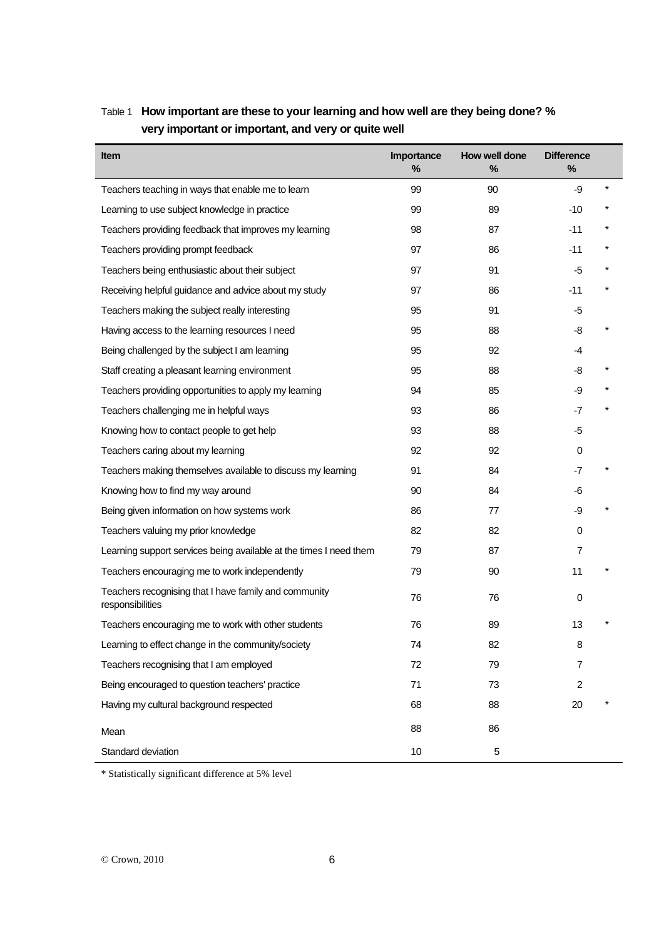| Item                                                                      | Importance<br>% | How well done<br>$\frac{0}{0}$ | <b>Difference</b><br>% |  |
|---------------------------------------------------------------------------|-----------------|--------------------------------|------------------------|--|
| Teachers teaching in ways that enable me to learn                         | 99              | 90                             | -9                     |  |
| Learning to use subject knowledge in practice                             | 99              | 89                             | $-10$                  |  |
| Teachers providing feedback that improves my learning                     | 98              | 87                             | $-11$                  |  |
| Teachers providing prompt feedback                                        | 97              | 86                             | $-11$                  |  |
| Teachers being enthusiastic about their subject                           | 97              | 91                             | -5                     |  |
| Receiving helpful guidance and advice about my study                      | 97              | 86                             | -11                    |  |
| Teachers making the subject really interesting                            | 95              | 91                             | -5                     |  |
| Having access to the learning resources I need                            | 95              | 88                             | -8                     |  |
| Being challenged by the subject I am learning                             | 95              | 92                             | -4                     |  |
| Staff creating a pleasant learning environment                            | 95              | 88                             | -8                     |  |
| Teachers providing opportunities to apply my learning                     | 94              | 85                             | -9                     |  |
| Teachers challenging me in helpful ways                                   | 93              | 86                             | $-7$                   |  |
| Knowing how to contact people to get help                                 | 93              | 88                             | -5                     |  |
| Teachers caring about my learning                                         | 92              | 92                             | 0                      |  |
| Teachers making themselves available to discuss my learning               | 91              | 84                             | -7                     |  |
| Knowing how to find my way around                                         | 90              | 84                             | -6                     |  |
| Being given information on how systems work                               | 86              | 77                             | -9                     |  |
| Teachers valuing my prior knowledge                                       | 82              | 82                             | 0                      |  |
| Learning support services being available at the times I need them        | 79              | 87                             | 7                      |  |
| Teachers encouraging me to work independently                             | 79              | 90                             | 11                     |  |
| Teachers recognising that I have family and community<br>responsibilities | 76              | 76                             | 0                      |  |
| Teachers encouraging me to work with other students                       | 76              | 89                             | 13                     |  |
| Learning to effect change in the community/society                        | 74              | 82                             | 8                      |  |
| Teachers recognising that I am employed                                   | 72              | 79                             | 7                      |  |
| Being encouraged to question teachers' practice                           | 71              | 73                             | 2                      |  |
| Having my cultural background respected                                   | 68              | 88                             | 20                     |  |
| Mean                                                                      | 88              | 86                             |                        |  |
| Standard deviation                                                        | 10              | 5                              |                        |  |

# Table 1 **How important are these to your learning and how well are they being done? % very important or important, and very or quite well**

\* Statistically significant difference at 5% level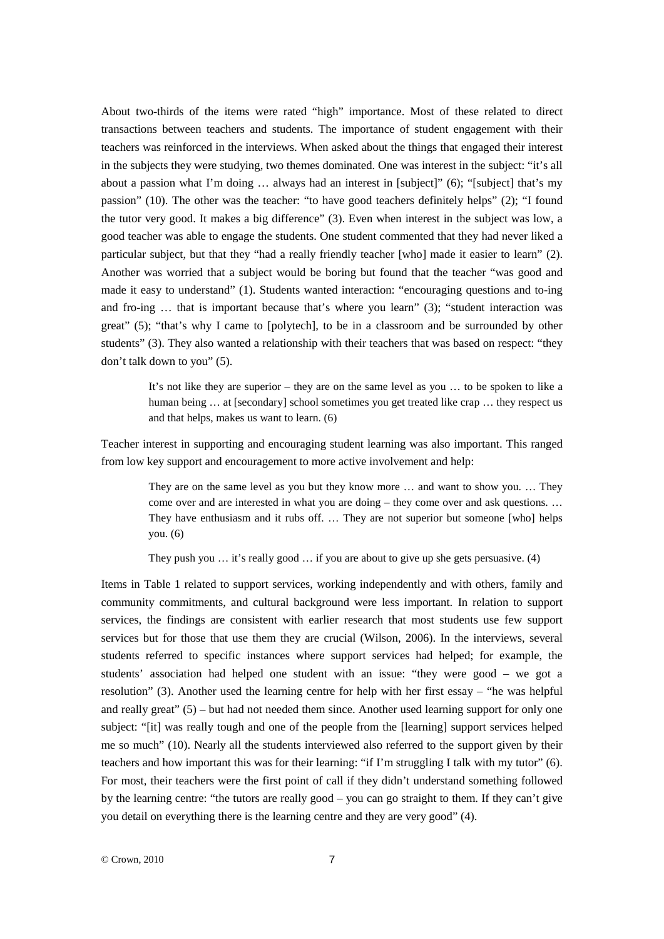About two-thirds of the items were rated "high" importance. Most of these related to direct transactions between teachers and students. The importance of student engagement with their teachers was reinforced in the interviews. When asked about the things that engaged their interest in the subjects they were studying, two themes dominated. One was interest in the subject: "it's all about a passion what I'm doing … always had an interest in [subject]" (6); "[subject] that's my passion" (10). The other was the teacher: "to have good teachers definitely helps" (2); "I found the tutor very good. It makes a big difference" (3). Even when interest in the subject was low, a good teacher was able to engage the students. One student commented that they had never liked a particular subject, but that they "had a really friendly teacher [who] made it easier to learn" (2). Another was worried that a subject would be boring but found that the teacher "was good and made it easy to understand" (1). Students wanted interaction: "encouraging questions and to-ing and fro-ing  $\ldots$  that is important because that's where you learn" (3); "student interaction was great" (5); "that's why I came to [polytech], to be in a classroom and be surrounded by other students" (3). They also wanted a relationship with their teachers that was based on respect: "they don't talk down to you" (5).

> It's not like they are superior – they are on the same level as you … to be spoken to like a human being ... at [secondary] school sometimes you get treated like crap ... they respect us and that helps, makes us want to learn. (6)

Teacher interest in supporting and encouraging student learning was also important. This ranged from low key support and encouragement to more active involvement and help:

> They are on the same level as you but they know more … and want to show you. … They come over and are interested in what you are doing – they come over and ask questions. … They have enthusiasm and it rubs off. … They are not superior but someone [who] helps you. (6)

They push you … it's really good … if you are about to give up she gets persuasive. (4)

Items in Table 1 related to support services, working independently and with others, family and community commitments, and cultural background were less important. In relation to support services, the findings are consistent with earlier research that most students use few support services but for those that use them they are crucial (Wilson, 2006). In the interviews, several students referred to specific instances where support services had helped; for example, the students' association had helped one student with an issue: "they were good – we got a resolution" (3). Another used the learning centre for help with her first essay – "he was helpful and really great" (5) – but had not needed them since. Another used learning support for only one subject: "[it] was really tough and one of the people from the [learning] support services helped me so much" (10). Nearly all the students interviewed also referred to the support given by their teachers and how important this was for their learning: "if I'm struggling I talk with my tutor" (6). For most, their teachers were the first point of call if they didn't understand something followed by the learning centre: "the tutors are really good – you can go straight to them. If they can't give you detail on everything there is the learning centre and they are very good" (4).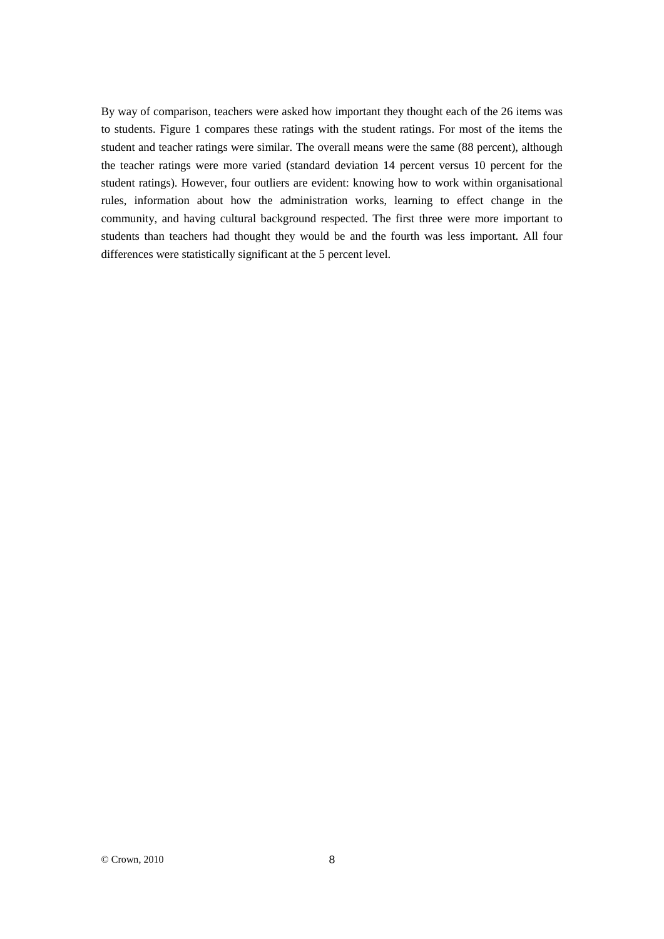By way of comparison, teachers were asked how important they thought each of the 26 items was to students. Figure 1 compares these ratings with the student ratings. For most of the items the student and teacher ratings were similar. The overall means were the same (88 percent), although the teacher ratings were more varied (standard deviation 14 percent versus 10 percent for the student ratings). However, four outliers are evident: knowing how to work within organisational rules, information about how the administration works, learning to effect change in the community, and having cultural background respected. The first three were more important to students than teachers had thought they would be and the fourth was less important. All four differences were statistically significant at the 5 percent level.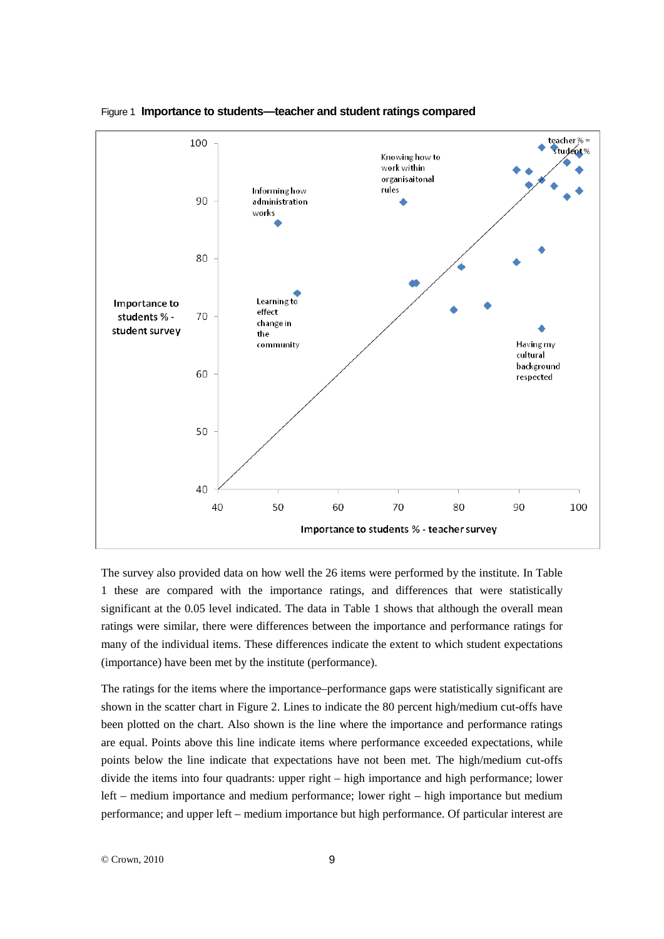

#### Figure 1 **Importance to students—teacher and student ratings compared**

The survey also provided data on how well the 26 items were performed by the institute. In Table 1 these are compared with the importance ratings, and differences that were statistically significant at the 0.05 level indicated. The data in Table 1 shows that although the overall mean ratings were similar, there were differences between the importance and performance ratings for many of the individual items. These differences indicate the extent to which student expectations (importance) have been met by the institute (performance).

The ratings for the items where the importance–performance gaps were statistically significant are shown in the scatter chart in Figure 2. Lines to indicate the 80 percent high/medium cut-offs have been plotted on the chart. Also shown is the line where the importance and performance ratings are equal. Points above this line indicate items where performance exceeded expectations, while points below the line indicate that expectations have not been met. The high/medium cut-offs divide the items into four quadrants: upper right – high importance and high performance; lower left – medium importance and medium performance; lower right – high importance but medium performance; and upper left – medium importance but high performance. Of particular interest are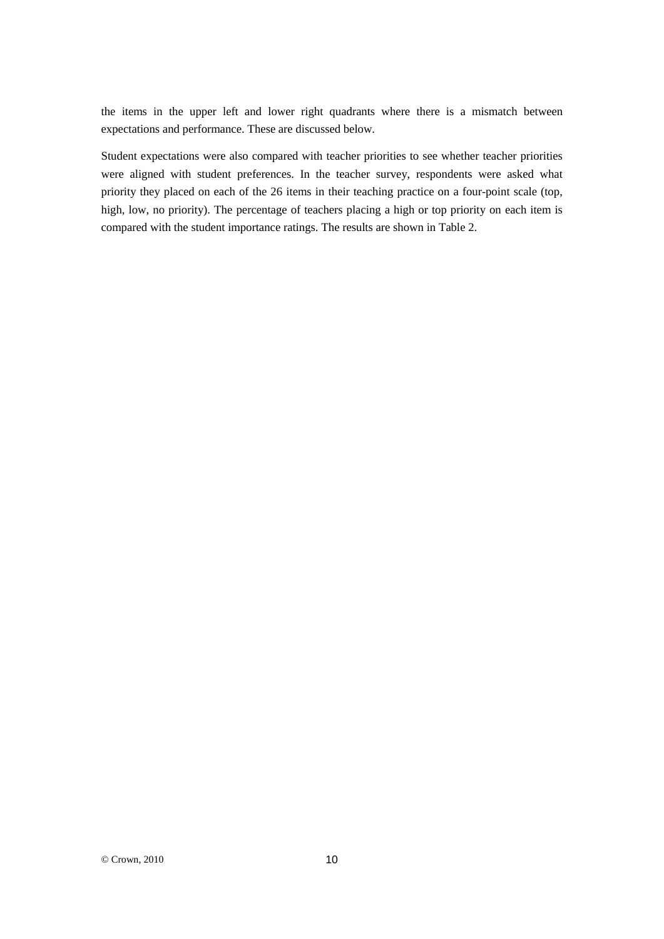the items in the upper left and lower right quadrants where there is a mismatch between expectations and performance. These are discussed below.

Student expectations were also compared with teacher priorities to see whether teacher priorities were aligned with student preferences. In the teacher survey, respondents were asked what priority they placed on each of the 26 items in their teaching practice on a four-point scale (top, high, low, no priority). The percentage of teachers placing a high or top priority on each item is compared with the student importance ratings. The results are shown in Table 2.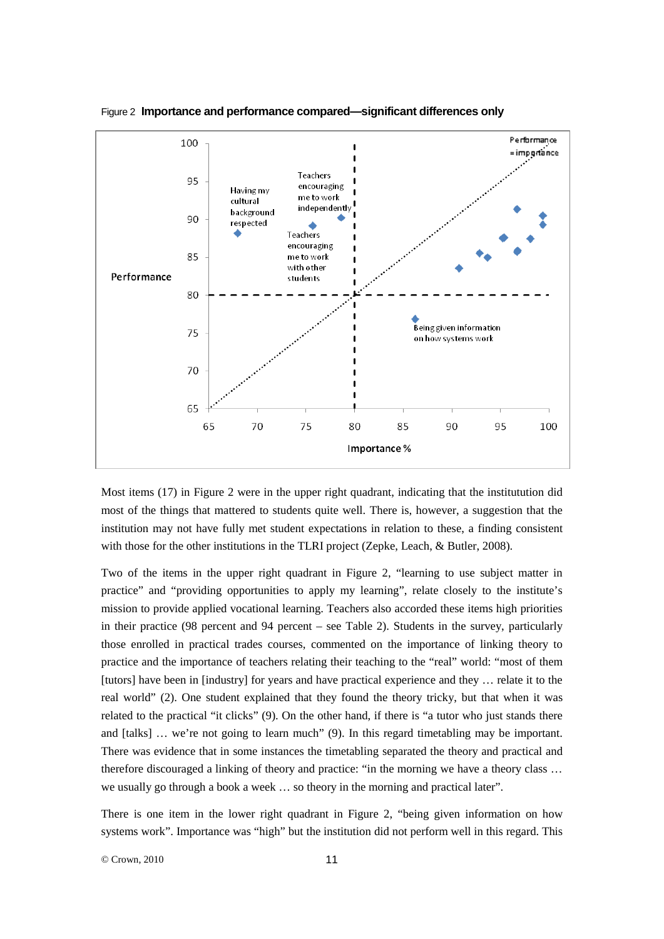

Figure 2 **Importance and performance compared—significant differences only**

Most items (17) in Figure 2 were in the upper right quadrant, indicating that the institutution did most of the things that mattered to students quite well. There is, however, a suggestion that the institution may not have fully met student expectations in relation to these, a finding consistent with those for the other institutions in the TLRI project (Zepke, Leach, & Butler, 2008).

Two of the items in the upper right quadrant in Figure 2, "learning to use subject matter in practice" and "providing opportunities to apply my learning", relate closely to the institute's mission to provide applied vocational learning. Teachers also accorded these items high priorities in their practice (98 percent and 94 percent – see Table 2). Students in the survey, particularly those enrolled in practical trades courses, commented on the importance of linking theory to practice and the importance of teachers relating their teaching to the "real" world: "most of them [tutors] have been in [industry] for years and have practical experience and they … relate it to the real world" (2). One student explained that they found the theory tricky, but that when it was related to the practical "it clicks" (9). On the other hand, if there is "a tutor who just stands there and [talks] … we're not going to learn much" (9). In this regard timetabling may be important. There was evidence that in some instances the timetabling separated the theory and practical and therefore discouraged a linking of theory and practice: "in the morning we have a theory class … we usually go through a book a week … so theory in the morning and practical later".

There is one item in the lower right quadrant in Figure 2, "being given information on how systems work". Importance was "high" but the institution did not perform well in this regard. This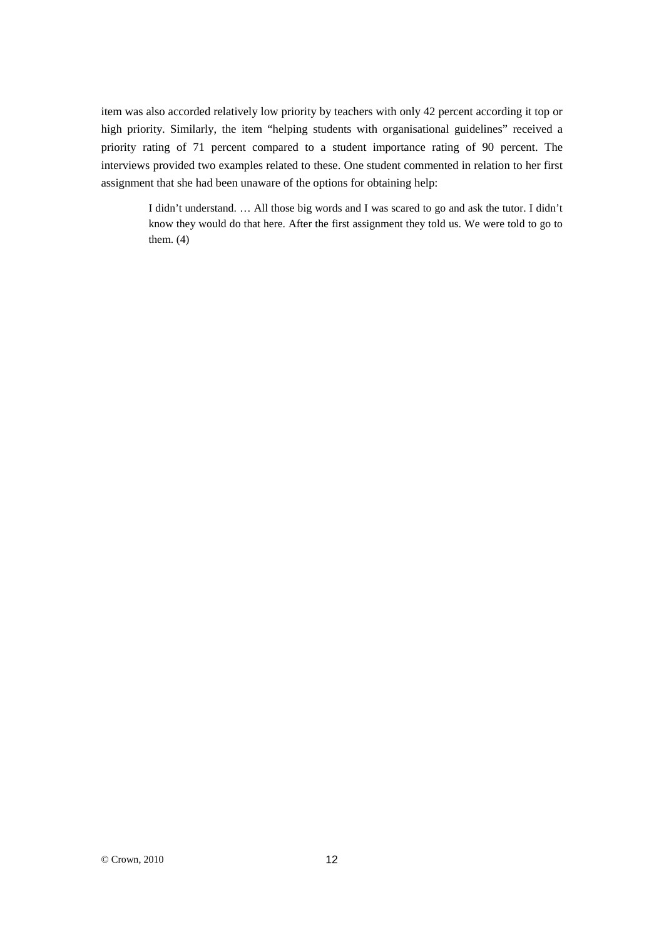item was also accorded relatively low priority by teachers with only 42 percent according it top or high priority. Similarly, the item "helping students with organisational guidelines" received a priority rating of 71 percent compared to a student importance rating of 90 percent. The interviews provided two examples related to these. One student commented in relation to her first assignment that she had been unaware of the options for obtaining help:

> I didn't understand. … All those big words and I was scared to go and ask the tutor. I didn't know they would do that here. After the first assignment they told us. We were told to go to them.  $(4)$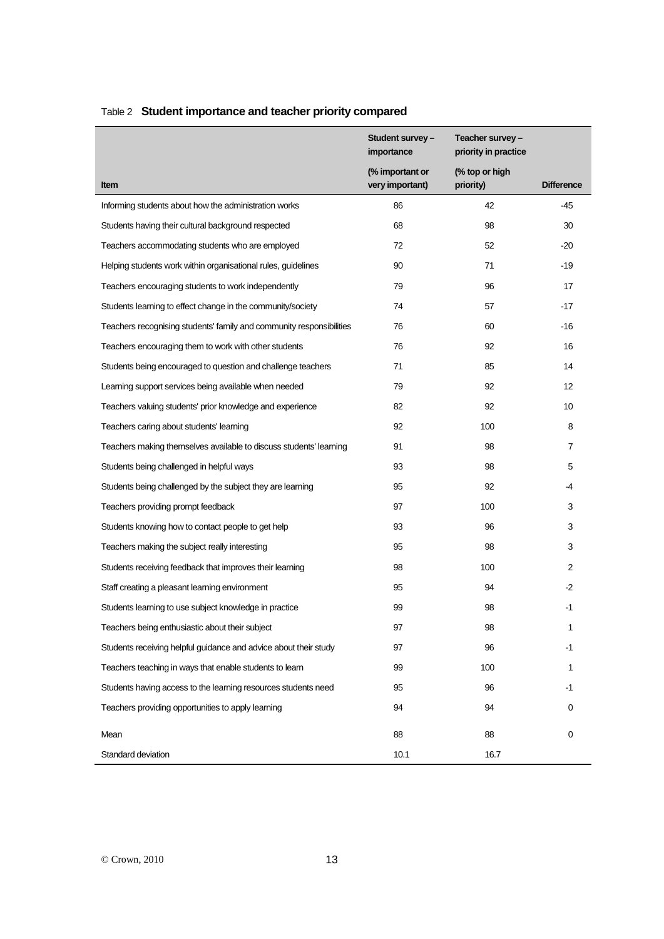|                                                                      | Student survey –<br>importance     | Teacher survey -<br>priority in practice |                   |
|----------------------------------------------------------------------|------------------------------------|------------------------------------------|-------------------|
| Item                                                                 | (% important or<br>very important) | (% top or high<br>priority)              | <b>Difference</b> |
| Informing students about how the administration works                | 86                                 | 42                                       | -45               |
| Students having their cultural background respected                  | 68                                 | 98                                       | 30                |
| Teachers accommodating students who are employed                     | 72                                 | 52                                       | -20               |
| Helping students work within organisational rules, guidelines        | 90                                 | 71                                       | -19               |
| Teachers encouraging students to work independently                  | 79                                 | 96                                       | 17                |
| Students learning to effect change in the community/society          | 74                                 | 57                                       | $-17$             |
| Teachers recognising students' family and community responsibilities | 76                                 | 60                                       | -16               |
| Teachers encouraging them to work with other students                | 76                                 | 92                                       | 16                |
| Students being encouraged to question and challenge teachers         | 71                                 | 85                                       | 14                |
| Learning support services being available when needed                | 79                                 | 92                                       | 12                |
| Teachers valuing students' prior knowledge and experience            | 82                                 | 92                                       | 10                |
| Teachers caring about students' learning                             | 92                                 | 100                                      | 8                 |
| Teachers making themselves available to discuss students' learning   | 91                                 | 98                                       | $\overline{7}$    |
| Students being challenged in helpful ways                            | 93                                 | 98                                       | 5                 |
| Students being challenged by the subject they are learning           | 95                                 | 92                                       | -4                |
| Teachers providing prompt feedback                                   | 97                                 | 100                                      | 3                 |
| Students knowing how to contact people to get help                   | 93                                 | 96                                       | 3                 |
| Teachers making the subject really interesting                       | 95                                 | 98                                       | 3                 |
| Students receiving feedback that improves their learning             | 98                                 | 100                                      | 2                 |
| Staff creating a pleasant learning environment                       | 95                                 | 94                                       | $-2$              |
| Students learning to use subject knowledge in practice               | 99                                 | 98                                       | $-1$              |
| Teachers being enthusiastic about their subject                      | 97                                 | 98                                       | 1                 |
| Students receiving helpful guidance and advice about their study     | 97                                 | 96                                       | $-1$              |
| Teachers teaching in ways that enable students to learn              | 99                                 | 100                                      | 1                 |
| Students having access to the learning resources students need       | 95                                 | 96                                       | $-1$              |
| Teachers providing opportunities to apply learning                   | 94                                 | 94                                       | 0                 |
| Mean                                                                 | 88                                 | 88                                       | 0                 |
| Standard deviation                                                   | 10.1                               | 16.7                                     |                   |

# Table 2 **Student importance and teacher priority compared**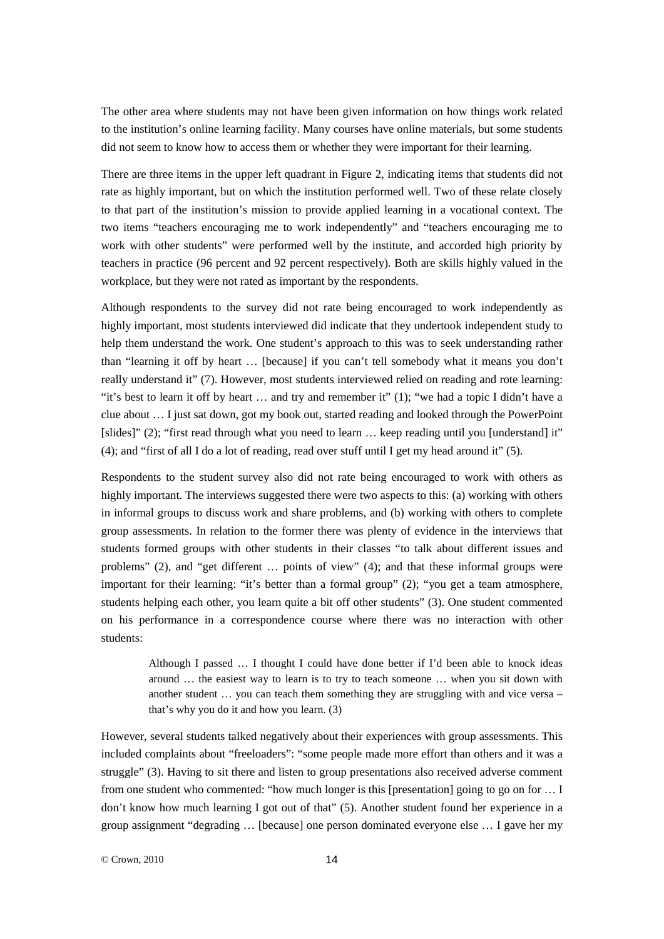The other area where students may not have been given information on how things work related to the institution's online learning facility. Many courses have online materials, but some students did not seem to know how to access them or whether they were important for their learning.

There are three items in the upper left quadrant in Figure 2, indicating items that students did not rate as highly important, but on which the institution performed well. Two of these relate closely to that part of the institution's mission to provide applied learning in a vocational context. The two items "teachers encouraging me to work independently" and "teachers encouraging me to work with other students" were performed well by the institute, and accorded high priority by teachers in practice (96 percent and 92 percent respectively). Both are skills highly valued in the workplace, but they were not rated as important by the respondents.

Although respondents to the survey did not rate being encouraged to work independently as highly important, most students interviewed did indicate that they undertook independent study to help them understand the work. One student's approach to this was to seek understanding rather than "learning it off by heart … [because] if you can't tell somebody what it means you don't really understand it" (7). However, most students interviewed relied on reading and rote learning: "it's best to learn it off by heart … and try and remember it" (1); "we had a topic I didn't have a clue about … I just sat down, got my book out, started reading and looked through the PowerPoint [slides]" (2); "first read through what you need to learn ... keep reading until you [understand] it" (4); and "first of all I do a lot of reading, read over stuff until I get my head around it" (5).

Respondents to the student survey also did not rate being encouraged to work with others as highly important. The interviews suggested there were two aspects to this: (a) working with others in informal groups to discuss work and share problems, and (b) working with others to complete group assessments. In relation to the former there was plenty of evidence in the interviews that students formed groups with other students in their classes "to talk about different issues and problems" (2), and "get different … points of view" (4); and that these informal groups were important for their learning: "it's better than a formal group" (2); "you get a team atmosphere, students helping each other, you learn quite a bit off other students" (3). One student commented on his performance in a correspondence course where there was no interaction with other students:

> Although I passed … I thought I could have done better if I'd been able to knock ideas around … the easiest way to learn is to try to teach someone … when you sit down with another student … you can teach them something they are struggling with and vice versa – that's why you do it and how you learn. (3)

However, several students talked negatively about their experiences with group assessments. This included complaints about "freeloaders": "some people made more effort than others and it was a struggle" (3). Having to sit there and listen to group presentations also received adverse comment from one student who commented: "how much longer is this [presentation] going to go on for … I don't know how much learning I got out of that" (5). Another student found her experience in a group assignment "degrading … [because] one person dominated everyone else … I gave her my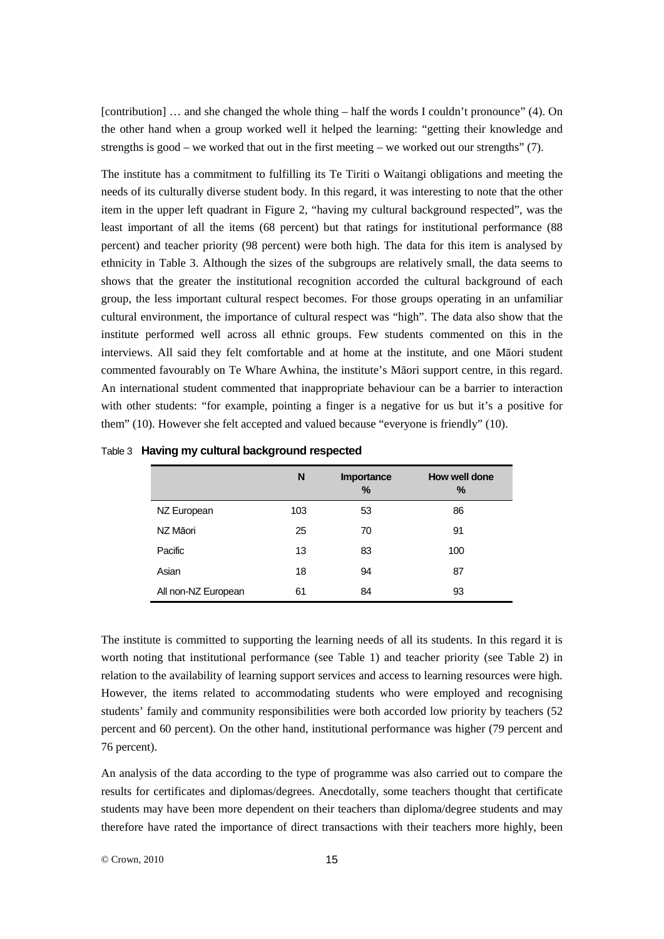[contribution] … and she changed the whole thing – half the words I couldn't pronounce" (4). On the other hand when a group worked well it helped the learning: "getting their knowledge and strengths is good – we worked that out in the first meeting – we worked out our strengths"  $(7)$ .

The institute has a commitment to fulfilling its Te Tiriti o Waitangi obligations and meeting the needs of its culturally diverse student body. In this regard, it was interesting to note that the other item in the upper left quadrant in Figure 2, "having my cultural background respected", was the least important of all the items (68 percent) but that ratings for institutional performance (88 percent) and teacher priority (98 percent) were both high. The data for this item is analysed by ethnicity in Table 3. Although the sizes of the subgroups are relatively small, the data seems to shows that the greater the institutional recognition accorded the cultural background of each group, the less important cultural respect becomes. For those groups operating in an unfamiliar cultural environment, the importance of cultural respect was "high". The data also show that the institute performed well across all ethnic groups. Few students commented on this in the interviews. All said they felt comfortable and at home at the institute, and one Māori student commented favourably on Te Whare Awhina, the institute's Māori support centre, in this regard. An international student commented that inappropriate behaviour can be a barrier to interaction with other students: "for example, pointing a finger is a negative for us but it's a positive for them" (10). However she felt accepted and valued because "everyone is friendly" (10).

|                     | N   | Importance<br>$\%$ | How well done<br>% |
|---------------------|-----|--------------------|--------------------|
| NZ European         | 103 | 53                 | 86                 |
| NZ Māori            | 25  | 70                 | 91                 |
| Pacific             | 13  | 83                 | 100                |
| Asian               | 18  | 94                 | 87                 |
| All non-NZ European | 61  | 84                 | 93                 |

Table 3 **Having my cultural background respected**

The institute is committed to supporting the learning needs of all its students. In this regard it is worth noting that institutional performance (see Table 1) and teacher priority (see Table 2) in relation to the availability of learning support services and access to learning resources were high. However, the items related to accommodating students who were employed and recognising students' family and community responsibilities were both accorded low priority by teachers (52 percent and 60 percent). On the other hand, institutional performance was higher (79 percent and 76 percent).

An analysis of the data according to the type of programme was also carried out to compare the results for certificates and diplomas/degrees. Anecdotally, some teachers thought that certificate students may have been more dependent on their teachers than diploma/degree students and may therefore have rated the importance of direct transactions with their teachers more highly, been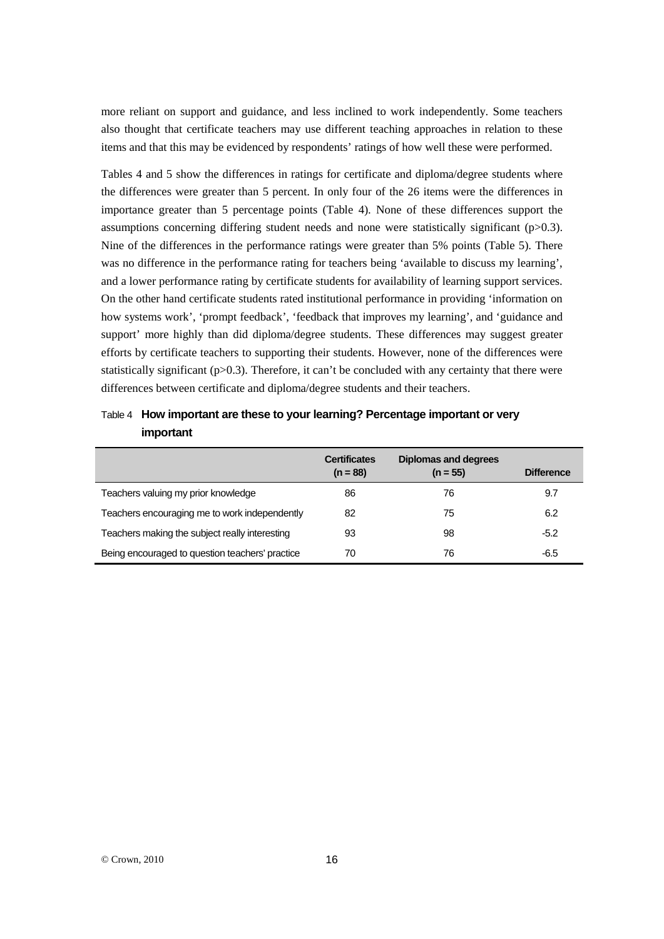more reliant on support and guidance, and less inclined to work independently. Some teachers also thought that certificate teachers may use different teaching approaches in relation to these items and that this may be evidenced by respondents' ratings of how well these were performed.

Tables 4 and 5 show the differences in ratings for certificate and diploma/degree students where the differences were greater than 5 percent. In only four of the 26 items were the differences in importance greater than 5 percentage points (Table 4). None of these differences support the assumptions concerning differing student needs and none were statistically significant (p>0.3). Nine of the differences in the performance ratings were greater than 5% points (Table 5). There was no difference in the performance rating for teachers being 'available to discuss my learning', and a lower performance rating by certificate students for availability of learning support services. On the other hand certificate students rated institutional performance in providing 'information on how systems work', 'prompt feedback', 'feedback that improves my learning', and 'guidance and support' more highly than did diploma/degree students. These differences may suggest greater efforts by certificate teachers to supporting their students. However, none of the differences were statistically significant ( $p$ >0.3). Therefore, it can't be concluded with any certainty that there were differences between certificate and diploma/degree students and their teachers.

### Table 4 **How important are these to your learning? Percentage important or very important**

|                                                 | <b>Certificates</b><br>$(n = 88)$ | <b>Diplomas and degrees</b><br>$(n = 55)$ | <b>Difference</b> |
|-------------------------------------------------|-----------------------------------|-------------------------------------------|-------------------|
| Teachers valuing my prior knowledge             | 86                                | 76                                        | 9.7               |
| Teachers encouraging me to work independently   | 82                                | 75                                        | 6.2               |
| Teachers making the subject really interesting  | 93                                | 98                                        | $-5.2$            |
| Being encouraged to question teachers' practice | 70                                | 76                                        | $-6.5$            |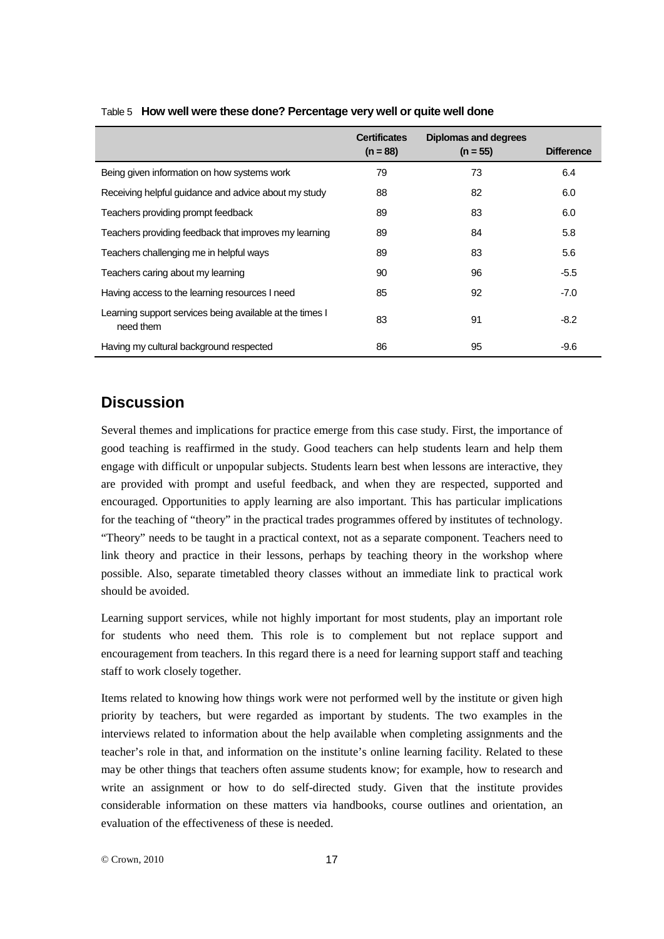|                                                                       | <b>Certificates</b><br>$(n = 88)$ | <b>Diplomas and degrees</b><br>$(n = 55)$ | <b>Difference</b> |
|-----------------------------------------------------------------------|-----------------------------------|-------------------------------------------|-------------------|
| Being given information on how systems work                           | 79                                | 73                                        | 6.4               |
| Receiving helpful guidance and advice about my study                  | 88                                | 82                                        | 6.0               |
| Teachers providing prompt feedback                                    | 89                                | 83                                        | 6.0               |
| Teachers providing feedback that improves my learning                 | 89                                | 84                                        | 5.8               |
| Teachers challenging me in helpful ways                               | 89                                | 83                                        | 5.6               |
| Teachers caring about my learning                                     | 90                                | 96                                        | $-5.5$            |
| Having access to the learning resources I need                        | 85                                | 92                                        | $-7.0$            |
| Learning support services being available at the times I<br>need them | 83                                | 91                                        | $-8.2$            |
| Having my cultural background respected                               | 86                                | 95                                        | $-9.6$            |

### Table 5 **How well were these done? Percentage very well or quite well done**

# **Discussion**

Several themes and implications for practice emerge from this case study. First, the importance of good teaching is reaffirmed in the study. Good teachers can help students learn and help them engage with difficult or unpopular subjects. Students learn best when lessons are interactive, they are provided with prompt and useful feedback, and when they are respected, supported and encouraged. Opportunities to apply learning are also important. This has particular implications for the teaching of "theory" in the practical trades programmes offered by institutes of technology. "Theory" needs to be taught in a practical context, not as a separate component. Teachers need to link theory and practice in their lessons, perhaps by teaching theory in the workshop where possible. Also, separate timetabled theory classes without an immediate link to practical work should be avoided.

Learning support services, while not highly important for most students, play an important role for students who need them. This role is to complement but not replace support and encouragement from teachers. In this regard there is a need for learning support staff and teaching staff to work closely together.

Items related to knowing how things work were not performed well by the institute or given high priority by teachers, but were regarded as important by students. The two examples in the interviews related to information about the help available when completing assignments and the teacher's role in that, and information on the institute's online learning facility. Related to these may be other things that teachers often assume students know; for example, how to research and write an assignment or how to do self-directed study. Given that the institute provides considerable information on these matters via handbooks, course outlines and orientation, an evaluation of the effectiveness of these is needed.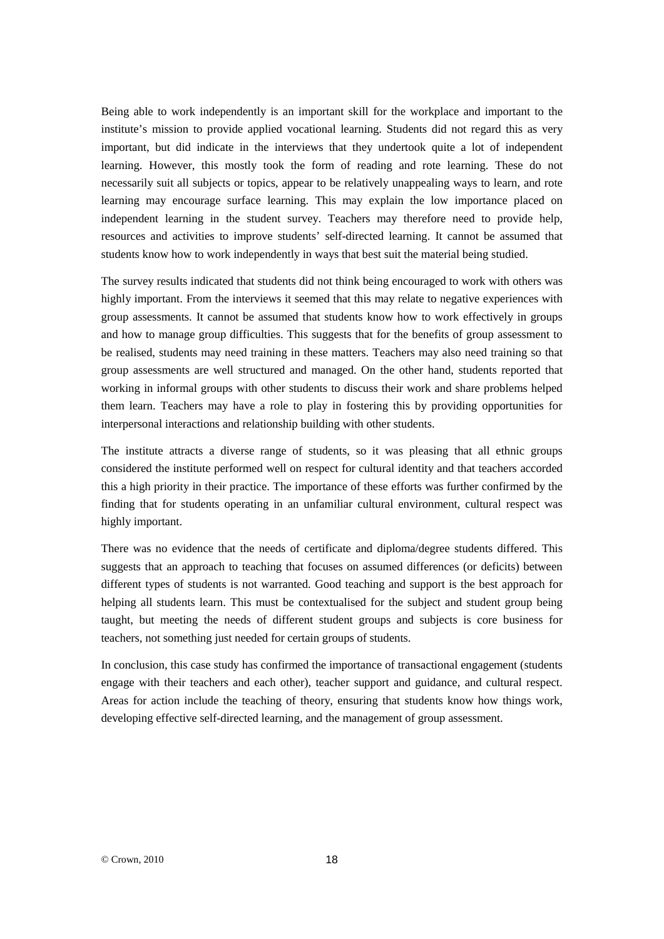Being able to work independently is an important skill for the workplace and important to the institute's mission to provide applied vocational learning. Students did not regard this as very important, but did indicate in the interviews that they undertook quite a lot of independent learning. However, this mostly took the form of reading and rote learning. These do not necessarily suit all subjects or topics, appear to be relatively unappealing ways to learn, and rote learning may encourage surface learning. This may explain the low importance placed on independent learning in the student survey. Teachers may therefore need to provide help, resources and activities to improve students' self-directed learning. It cannot be assumed that students know how to work independently in ways that best suit the material being studied.

The survey results indicated that students did not think being encouraged to work with others was highly important. From the interviews it seemed that this may relate to negative experiences with group assessments. It cannot be assumed that students know how to work effectively in groups and how to manage group difficulties. This suggests that for the benefits of group assessment to be realised, students may need training in these matters. Teachers may also need training so that group assessments are well structured and managed. On the other hand, students reported that working in informal groups with other students to discuss their work and share problems helped them learn. Teachers may have a role to play in fostering this by providing opportunities for interpersonal interactions and relationship building with other students.

The institute attracts a diverse range of students, so it was pleasing that all ethnic groups considered the institute performed well on respect for cultural identity and that teachers accorded this a high priority in their practice. The importance of these efforts was further confirmed by the finding that for students operating in an unfamiliar cultural environment, cultural respect was highly important.

There was no evidence that the needs of certificate and diploma/degree students differed. This suggests that an approach to teaching that focuses on assumed differences (or deficits) between different types of students is not warranted. Good teaching and support is the best approach for helping all students learn. This must be contextualised for the subject and student group being taught, but meeting the needs of different student groups and subjects is core business for teachers, not something just needed for certain groups of students.

In conclusion, this case study has confirmed the importance of transactional engagement (students engage with their teachers and each other), teacher support and guidance, and cultural respect. Areas for action include the teaching of theory, ensuring that students know how things work, developing effective self-directed learning, and the management of group assessment.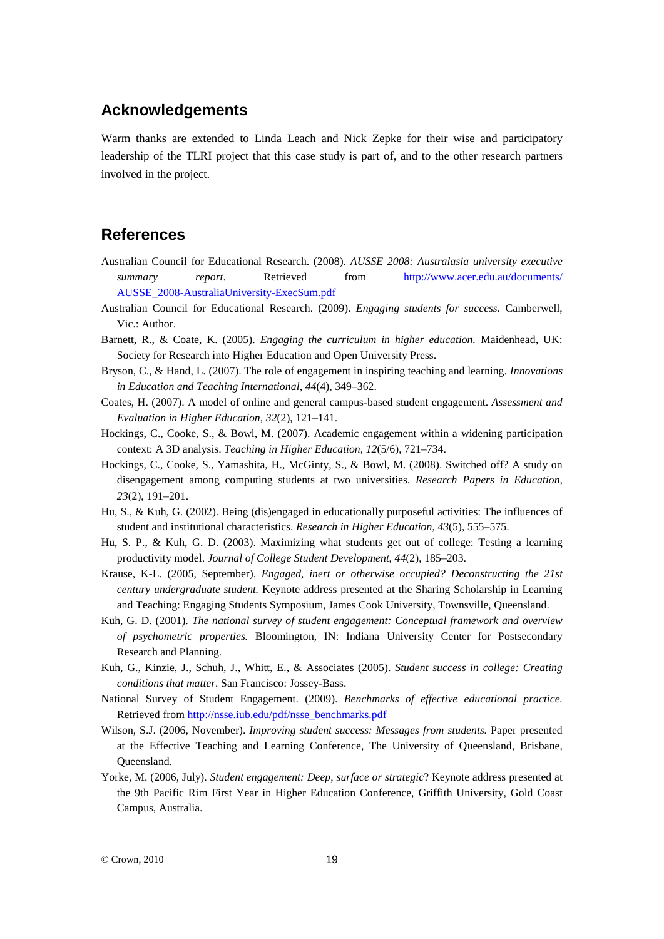# **Acknowledgements**

Warm thanks are extended to Linda Leach and Nick Zepke for their wise and participatory leadership of the TLRI project that this case study is part of, and to the other research partners involved in the project.

# **References**

- Australian Council for Educational Research. (2008). *AUSSE 2008: Australasia university executive summary report*. Retrieved from [http://www.acer.edu.au/documents/](http://www.acer.edu.au/documents/%0bAUSSE_2008-AustraliaUniversity-ExecSum.pdf) [AUSSE\\_2008-AustraliaUniversity-ExecSum.pdf](http://www.acer.edu.au/documents/%0bAUSSE_2008-AustraliaUniversity-ExecSum.pdf)
- Australian Council for Educational Research. (2009). *Engaging students for success.* Camberwell, Vic.: Author.
- Barnett, R., & Coate, K. (2005). *Engaging the curriculum in higher education.* Maidenhead, UK: Society for Research into Higher Education and Open University Press.
- Bryson, C., & Hand, L. (2007). The role of engagement in inspiring teaching and learning. *Innovations in Education and Teaching International*, *44*(4), 349–362.
- Coates, H. (2007). A model of online and general campus-based student engagement. *Assessment and Evaluation in Higher Education, 32*(2), 121–141.
- Hockings, C., Cooke, S., & Bowl, M. (2007). Academic engagement within a widening participation context: A 3D analysis. *Teaching in Higher Education, 12*(5/6), 721–734.
- Hockings, C., Cooke, S., Yamashita, H., McGinty, S., & Bowl, M. (2008). Switched off? A study on disengagement among computing students at two universities. *Research Papers in Education* , *23*(2), 191–201.
- Hu, S., & Kuh, G. (2002). Being (dis)engaged in educationally purposeful activities: The influences of student and institutional characteristics. *Research in Higher Education*, *43*(5), 555–575.
- Hu, S. P., & Kuh, G. D. (2003). Maximizing what students get out of college: Testing a learning productivity model. *Journal of College Student Development, 44*(2), 185–203.
- Krause, K-L. (2005, September). *Engaged, inert or otherwise occupied? Deconstructing the 21st century undergraduate student.* Keynote address presented at the Sharing Scholarship in Learning and Teaching: Engaging Students Symposium, James Cook University, Townsville, Queensland.
- Kuh, G. D. (2001). *The national survey of student engagement: Conceptual framework and overview of psychometric properties.* Bloomington, IN: Indiana University Center for Postsecondary Research and Planning.
- Kuh, G., Kinzie, J., Schuh, J., Whitt, E., & Associates (2005). *Student success in college: Creating conditions that matter*. San Francisco: Jossey-Bass.
- National Survey of Student Engagement. (2009). *Benchmarks of effective educational practice.* Retrieved from [http://nsse.iub.edu/pdf/nsse\\_benchmarks.pdf](http://nsse.iub.edu/pdf/nsse_benchmarks.pdf)
- Wilson, S.J. (2006, November). *Improving student success: Messages from students.* Paper presented at the Effective Teaching and Learning Conference, The University of Queensland, Brisbane, Queensland.
- Yorke, M. (2006, July). *Student engagement: Deep, surface or strategic*? Keynote address presented at the 9th Pacific Rim First Year in Higher Education Conference, Griffith University, Gold Coast Campus, Australia.